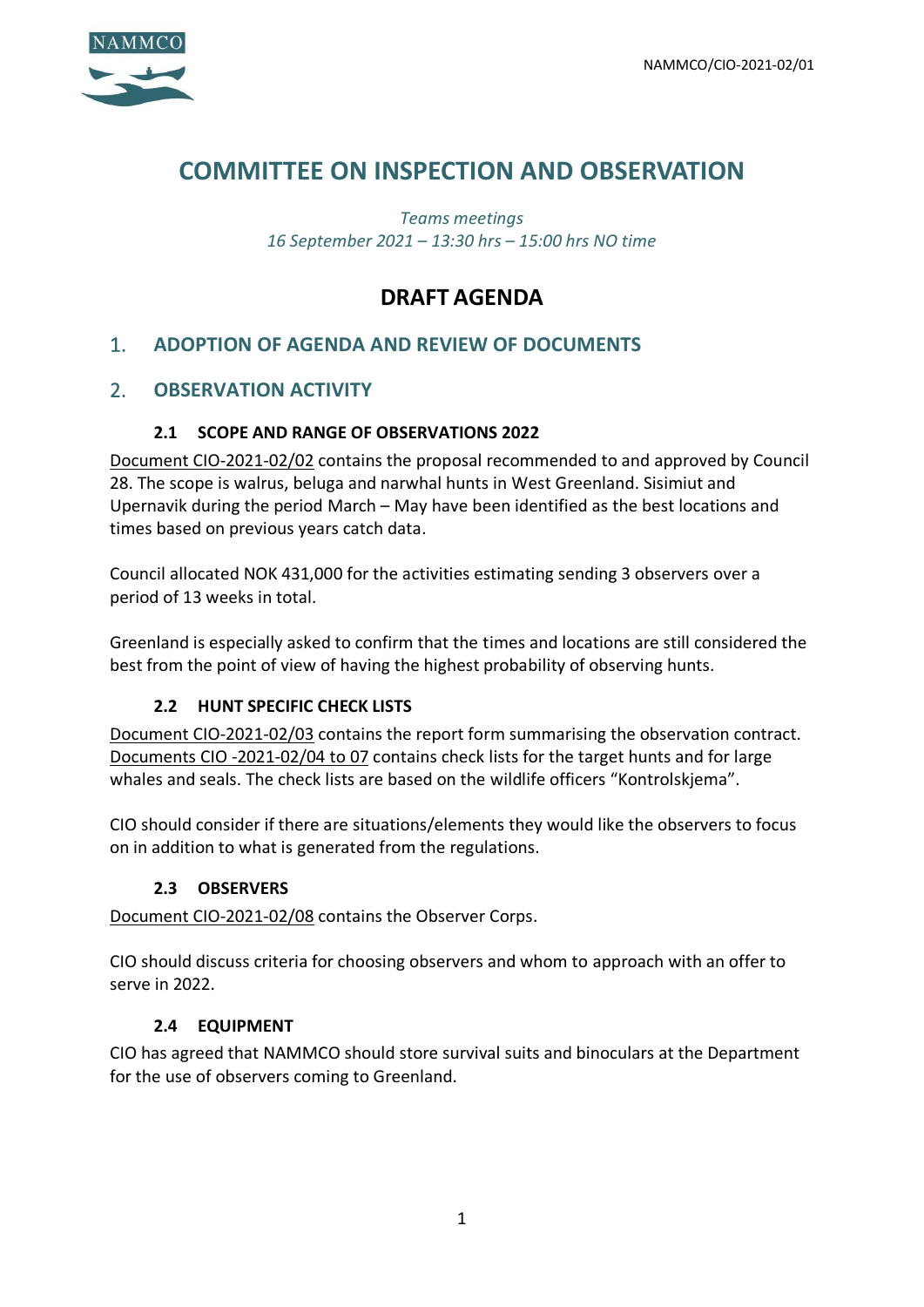

# **COMMITTEE ON INSPECTION AND OBSERVATION**

*Teams meetings 16 September 2021 – 13:30 hrs – 15:00 hrs NO time*

# **DRAFT AGENDA**

# 1. **ADOPTION OF AGENDA AND REVIEW OF DOCUMENTS**

# 2. **OBSERVATION ACTIVITY**

### **2.1 SCOPE AND RANGE OF OBSERVATIONS 2022**

Document CIO-2021-02/02 contains the proposal recommended to and approved by Council 28. The scope is walrus, beluga and narwhal hunts in West Greenland. Sisimiut and Upernavik during the period March – May have been identified as the best locations and times based on previous years catch data.

Council allocated NOK 431,000 for the activities estimating sending 3 observers over a period of 13 weeks in total.

Greenland is especially asked to confirm that the times and locations are still considered the best from the point of view of having the highest probability of observing hunts.

#### **2.2 HUNT SPECIFIC CHECK LISTS**

Document CIO-2021-02/03 contains the report form summarising the observation contract. Documents CIO -2021-02/04 to 07 contains check lists for the target hunts and for large whales and seals. The check lists are based on the wildlife officers "Kontrolskjema".

CIO should consider if there are situations/elements they would like the observers to focus on in addition to what is generated from the regulations.

#### **2.3 OBSERVERS**

Document CIO-2021-02/08 contains the Observer Corps.

CIO should discuss criteria for choosing observers and whom to approach with an offer to serve in 2022.

#### **2.4 EQUIPMENT**

CIO has agreed that NAMMCO should store survival suits and binoculars at the Department for the use of observers coming to Greenland.